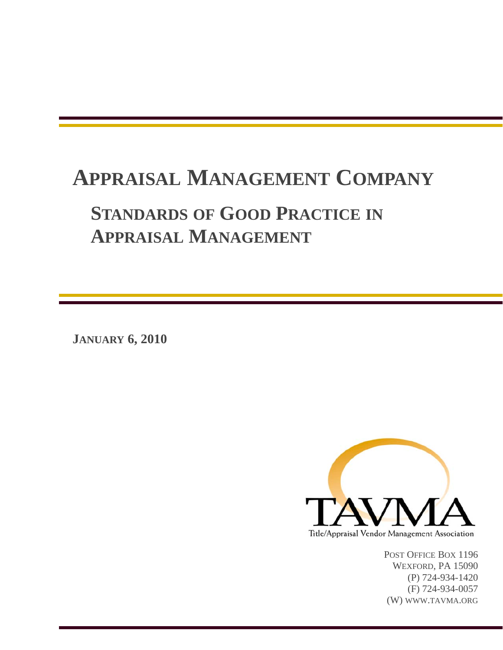## **APPRAISAL MANAGEMENT COMPANY STANDARDS OF GOOD PRACTICE IN APPRAISAL MANAGEMENT**

**JANUARY 6, 2010** 



POST OFFICE BOX 1196 WEXFORD, PA 15090 (P) 724-934-1420 (F) 724-934-0057 (W) WWW.TAVMA.ORG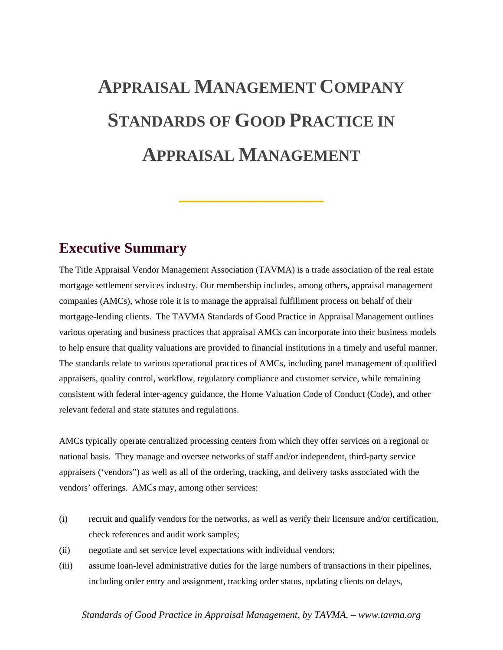# **APPRAISAL MANAGEMENT COMPANY STANDARDS OF GOOD PRACTICE IN APPRAISAL MANAGEMENT**

**\_\_\_\_\_\_\_\_\_\_\_\_\_\_\_\_\_\_\_\_\_\_\_\_\_\_\_\_\_\_\_\_**

### **Executive Summary**

The Title Appraisal Vendor Management Association (TAVMA) is a trade association of the real estate mortgage settlement services industry. Our membership includes, among others, appraisal management companies (AMCs), whose role it is to manage the appraisal fulfillment process on behalf of their mortgage-lending clients. The TAVMA Standards of Good Practice in Appraisal Management outlines various operating and business practices that appraisal AMCs can incorporate into their business models to help ensure that quality valuations are provided to financial institutions in a timely and useful manner. The standards relate to various operational practices of AMCs, including panel management of qualified appraisers, quality control, workflow, regulatory compliance and customer service, while remaining consistent with federal inter-agency guidance, the Home Valuation Code of Conduct (Code), and other relevant federal and state statutes and regulations.

AMCs typically operate centralized processing centers from which they offer services on a regional or national basis. They manage and oversee networks of staff and/or independent, third-party service appraisers ('vendors") as well as all of the ordering, tracking, and delivery tasks associated with the vendors' offerings. AMCs may, among other services:

- (i) recruit and qualify vendors for the networks, as well as verify their licensure and/or certification, check references and audit work samples;
- (ii) negotiate and set service level expectations with individual vendors;
- (iii) assume loan-level administrative duties for the large numbers of transactions in their pipelines, including order entry and assignment, tracking order status, updating clients on delays,

#### *Standards of Good Practice in Appraisal Management, by TAVMA. – www.tavma.org*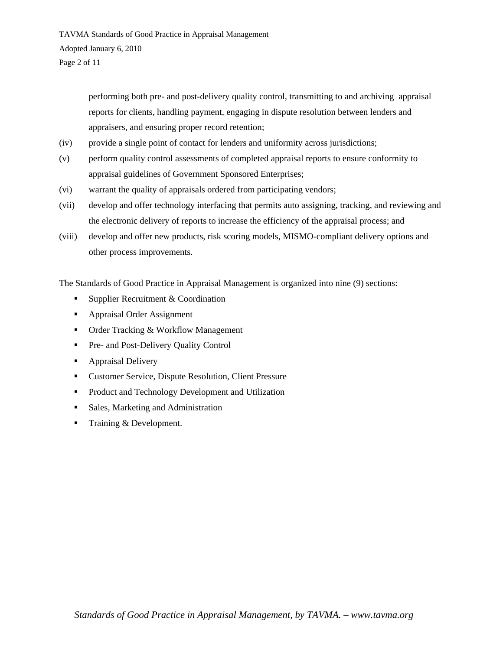performing both pre- and post-delivery quality control, transmitting to and archiving appraisal reports for clients, handling payment, engaging in dispute resolution between lenders and appraisers, and ensuring proper record retention;

- (iv) provide a single point of contact for lenders and uniformity across jurisdictions;
- (v) perform quality control assessments of completed appraisal reports to ensure conformity to appraisal guidelines of Government Sponsored Enterprises;
- (vi) warrant the quality of appraisals ordered from participating vendors;
- (vii) develop and offer technology interfacing that permits auto assigning, tracking, and reviewing and the electronic delivery of reports to increase the efficiency of the appraisal process; and
- (viii) develop and offer new products, risk scoring models, MISMO-compliant delivery options and other process improvements.

The Standards of Good Practice in Appraisal Management is organized into nine (9) sections:

- Supplier Recruitment & Coordination
- **Appraisal Order Assignment**
- Order Tracking & Workflow Management
- **Pre- and Post-Delivery Quality Control**
- **Appraisal Delivery**
- Customer Service, Dispute Resolution, Client Pressure
- **Product and Technology Development and Utilization**
- Sales, Marketing and Administration
- Training  $&$  Development.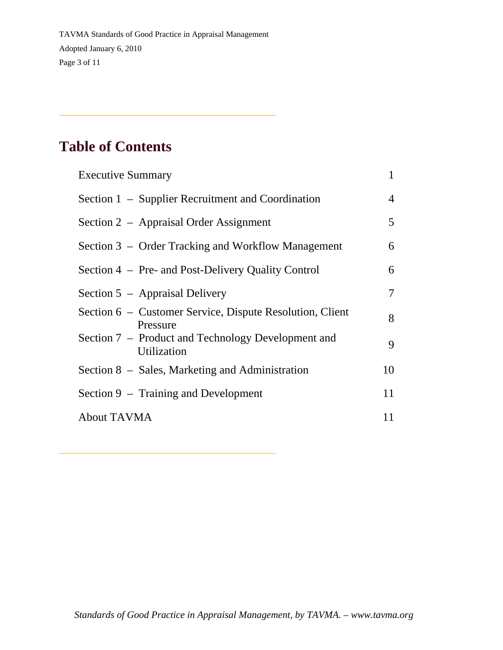\_\_\_\_\_\_\_\_\_\_\_\_\_\_\_\_\_\_\_\_\_\_\_\_\_\_\_\_\_\_\_\_\_\_\_\_\_\_\_\_\_\_\_\_\_\_\_\_

\_\_\_\_\_\_\_\_\_\_\_\_\_\_\_\_\_\_\_\_\_\_\_\_\_\_\_\_\_\_\_\_\_\_\_\_\_\_\_\_\_\_\_\_\_\_\_\_

### **Table of Contents**

| <b>Executive Summary</b>                                             |    |
|----------------------------------------------------------------------|----|
| Section 1 – Supplier Recruitment and Coordination                    | 4  |
| Section 2 – Appraisal Order Assignment                               | 5  |
| Section 3 – Order Tracking and Workflow Management                   | 6  |
| Section 4 – Pre- and Post-Delivery Quality Control                   | 6  |
| Section 5 – Appraisal Delivery                                       | 7  |
| Section 6 – Customer Service, Dispute Resolution, Client<br>Pressure | 8  |
| Section 7 – Product and Technology Development and<br>Utilization    | 9  |
| Section 8 – Sales, Marketing and Administration                      | 10 |
| Section 9 – Training and Development                                 | 11 |
| <b>About TAVMA</b>                                                   | 11 |
|                                                                      |    |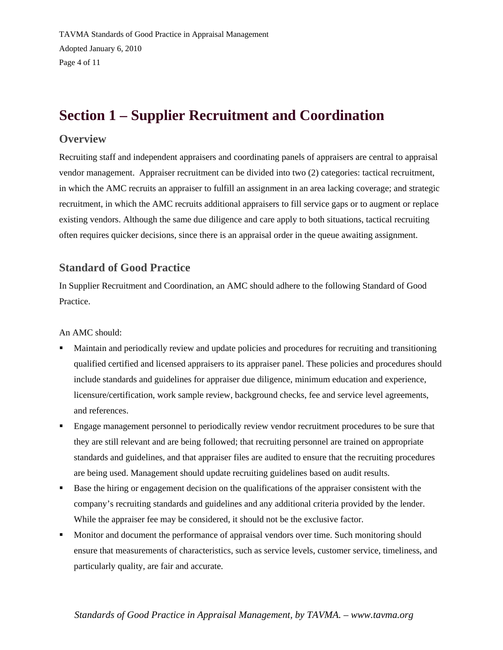TAVMA Standards of Good Practice in Appraisal Management Adopted January 6, 2010 Page 4 of 11

### **Section 1 – Supplier Recruitment and Coordination**

#### **Overview**

Recruiting staff and independent appraisers and coordinating panels of appraisers are central to appraisal vendor management. Appraiser recruitment can be divided into two (2) categories: tactical recruitment, in which the AMC recruits an appraiser to fulfill an assignment in an area lacking coverage; and strategic recruitment, in which the AMC recruits additional appraisers to fill service gaps or to augment or replace existing vendors. Although the same due diligence and care apply to both situations, tactical recruiting often requires quicker decisions, since there is an appraisal order in the queue awaiting assignment.

#### **Standard of Good Practice**

In Supplier Recruitment and Coordination, an AMC should adhere to the following Standard of Good Practice.

An AMC should:

- Maintain and periodically review and update policies and procedures for recruiting and transitioning qualified certified and licensed appraisers to its appraiser panel. These policies and procedures should include standards and guidelines for appraiser due diligence, minimum education and experience, licensure/certification, work sample review, background checks, fee and service level agreements, and references.
- Engage management personnel to periodically review vendor recruitment procedures to be sure that they are still relevant and are being followed; that recruiting personnel are trained on appropriate standards and guidelines, and that appraiser files are audited to ensure that the recruiting procedures are being used. Management should update recruiting guidelines based on audit results.
- Base the hiring or engagement decision on the qualifications of the appraiser consistent with the company's recruiting standards and guidelines and any additional criteria provided by the lender. While the appraiser fee may be considered, it should not be the exclusive factor.
- **Monitor and document the performance of appraisal vendors over time. Such monitoring should** ensure that measurements of characteristics, such as service levels, customer service, timeliness, and particularly quality, are fair and accurate.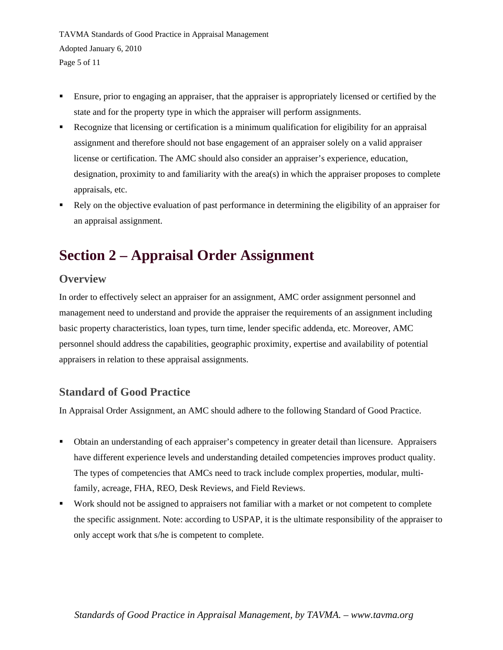TAVMA Standards of Good Practice in Appraisal Management Adopted January 6, 2010 Page 5 of 11

- Ensure, prior to engaging an appraiser, that the appraiser is appropriately licensed or certified by the state and for the property type in which the appraiser will perform assignments.
- Recognize that licensing or certification is a minimum qualification for eligibility for an appraisal assignment and therefore should not base engagement of an appraiser solely on a valid appraiser license or certification. The AMC should also consider an appraiser's experience, education, designation, proximity to and familiarity with the area(s) in which the appraiser proposes to complete appraisals, etc.
- Rely on the objective evaluation of past performance in determining the eligibility of an appraiser for an appraisal assignment.

### **Section 2 – Appraisal Order Assignment**

#### **Overview**

In order to effectively select an appraiser for an assignment, AMC order assignment personnel and management need to understand and provide the appraiser the requirements of an assignment including basic property characteristics, loan types, turn time, lender specific addenda, etc. Moreover, AMC personnel should address the capabilities, geographic proximity, expertise and availability of potential appraisers in relation to these appraisal assignments.

#### **Standard of Good Practice**

In Appraisal Order Assignment, an AMC should adhere to the following Standard of Good Practice.

- Obtain an understanding of each appraiser's competency in greater detail than licensure. Appraisers have different experience levels and understanding detailed competencies improves product quality. The types of competencies that AMCs need to track include complex properties, modular, multifamily, acreage, FHA, REO, Desk Reviews, and Field Reviews.
- Work should not be assigned to appraisers not familiar with a market or not competent to complete the specific assignment. Note: according to USPAP, it is the ultimate responsibility of the appraiser to only accept work that s/he is competent to complete.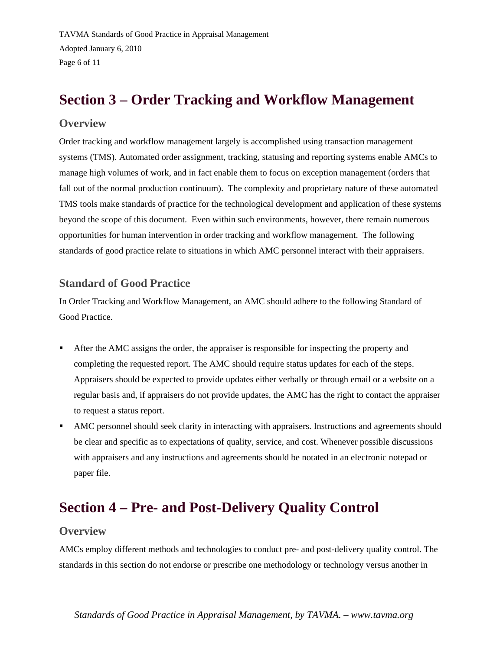TAVMA Standards of Good Practice in Appraisal Management Adopted January 6, 2010 Page 6 of 11

### **Section 3 – Order Tracking and Workflow Management**

#### **Overview**

Order tracking and workflow management largely is accomplished using transaction management systems (TMS). Automated order assignment, tracking, statusing and reporting systems enable AMCs to manage high volumes of work, and in fact enable them to focus on exception management (orders that fall out of the normal production continuum). The complexity and proprietary nature of these automated TMS tools make standards of practice for the technological development and application of these systems beyond the scope of this document. Even within such environments, however, there remain numerous opportunities for human intervention in order tracking and workflow management. The following standards of good practice relate to situations in which AMC personnel interact with their appraisers.

#### **Standard of Good Practice**

In Order Tracking and Workflow Management, an AMC should adhere to the following Standard of Good Practice.

- After the AMC assigns the order, the appraiser is responsible for inspecting the property and completing the requested report. The AMC should require status updates for each of the steps. Appraisers should be expected to provide updates either verbally or through email or a website on a regular basis and, if appraisers do not provide updates, the AMC has the right to contact the appraiser to request a status report.
- AMC personnel should seek clarity in interacting with appraisers. Instructions and agreements should be clear and specific as to expectations of quality, service, and cost. Whenever possible discussions with appraisers and any instructions and agreements should be notated in an electronic notepad or paper file.

### **Section 4 – Pre- and Post-Delivery Quality Control**

#### **Overview**

AMCs employ different methods and technologies to conduct pre- and post-delivery quality control. The standards in this section do not endorse or prescribe one methodology or technology versus another in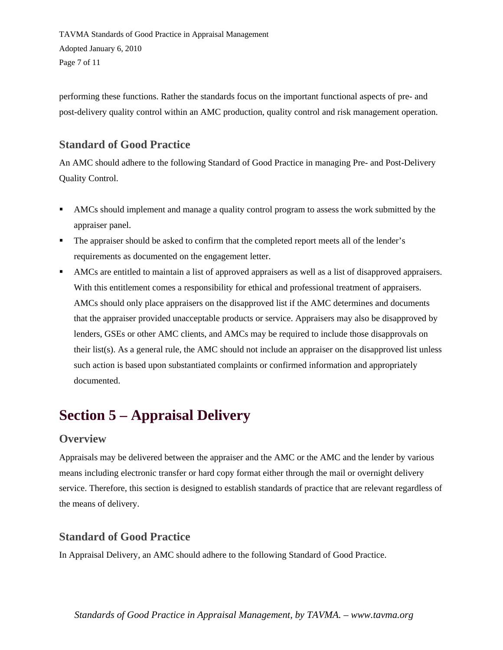TAVMA Standards of Good Practice in Appraisal Management Adopted January 6, 2010 Page 7 of 11

performing these functions. Rather the standards focus on the important functional aspects of pre- and post-delivery quality control within an AMC production, quality control and risk management operation.

#### **Standard of Good Practice**

An AMC should adhere to the following Standard of Good Practice in managing Pre- and Post-Delivery Quality Control.

- AMCs should implement and manage a quality control program to assess the work submitted by the appraiser panel.
- The appraiser should be asked to confirm that the completed report meets all of the lender's requirements as documented on the engagement letter.
- AMCs are entitled to maintain a list of approved appraisers as well as a list of disapproved appraisers. With this entitlement comes a responsibility for ethical and professional treatment of appraisers. AMCs should only place appraisers on the disapproved list if the AMC determines and documents that the appraiser provided unacceptable products or service. Appraisers may also be disapproved by lenders, GSEs or other AMC clients, and AMCs may be required to include those disapprovals on their list(s). As a general rule, the AMC should not include an appraiser on the disapproved list unless such action is based upon substantiated complaints or confirmed information and appropriately documented.

### **Section 5 – Appraisal Delivery**

#### **Overview**

Appraisals may be delivered between the appraiser and the AMC or the AMC and the lender by various means including electronic transfer or hard copy format either through the mail or overnight delivery service. Therefore, this section is designed to establish standards of practice that are relevant regardless of the means of delivery.

#### **Standard of Good Practice**

In Appraisal Delivery, an AMC should adhere to the following Standard of Good Practice.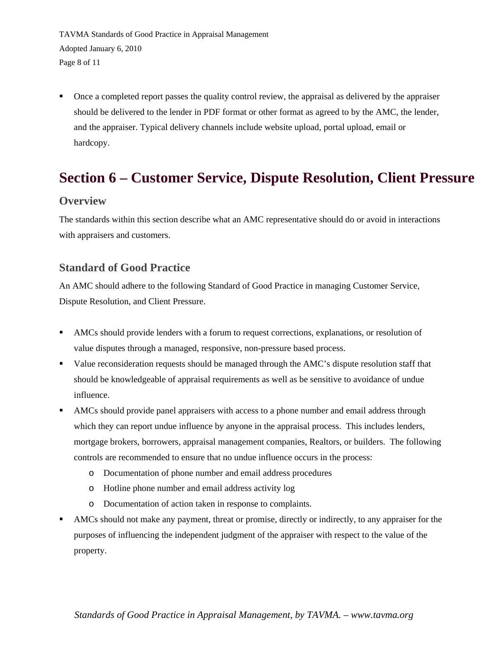TAVMA Standards of Good Practice in Appraisal Management Adopted January 6, 2010 Page 8 of 11

 Once a completed report passes the quality control review, the appraisal as delivered by the appraiser should be delivered to the lender in PDF format or other format as agreed to by the AMC, the lender, and the appraiser. Typical delivery channels include website upload, portal upload, email or hardcopy.

### **Section 6 – Customer Service, Dispute Resolution, Client Pressure**

#### **Overview**

The standards within this section describe what an AMC representative should do or avoid in interactions with appraisers and customers.

#### **Standard of Good Practice**

An AMC should adhere to the following Standard of Good Practice in managing Customer Service, Dispute Resolution, and Client Pressure.

- AMCs should provide lenders with a forum to request corrections, explanations, or resolution of value disputes through a managed, responsive, non-pressure based process.
- Value reconsideration requests should be managed through the AMC's dispute resolution staff that should be knowledgeable of appraisal requirements as well as be sensitive to avoidance of undue influence.
- AMCs should provide panel appraisers with access to a phone number and email address through which they can report undue influence by anyone in the appraisal process. This includes lenders, mortgage brokers, borrowers, appraisal management companies, Realtors, or builders. The following controls are recommended to ensure that no undue influence occurs in the process:
	- o Documentation of phone number and email address procedures
	- o Hotline phone number and email address activity log
	- o Documentation of action taken in response to complaints.
- AMCs should not make any payment, threat or promise, directly or indirectly, to any appraiser for the purposes of influencing the independent judgment of the appraiser with respect to the value of the property.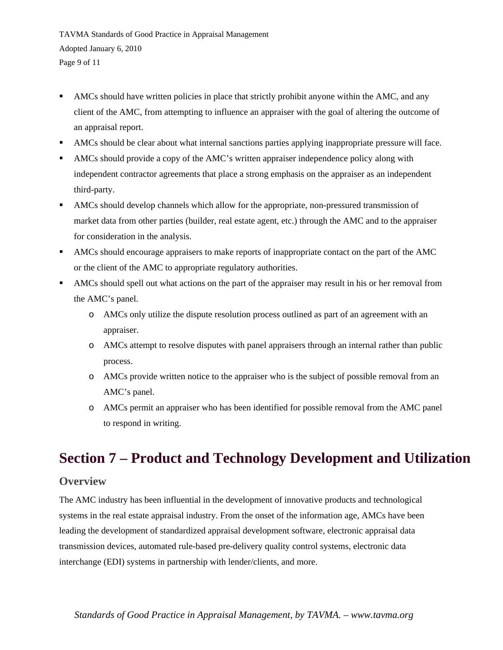TAVMA Standards of Good Practice in Appraisal Management Adopted January 6, 2010 Page 9 of 11

- AMCs should have written policies in place that strictly prohibit anyone within the AMC, and any client of the AMC, from attempting to influence an appraiser with the goal of altering the outcome of an appraisal report.
- AMCs should be clear about what internal sanctions parties applying inappropriate pressure will face.
- AMCs should provide a copy of the AMC's written appraiser independence policy along with independent contractor agreements that place a strong emphasis on the appraiser as an independent third-party.
- AMCs should develop channels which allow for the appropriate, non-pressured transmission of market data from other parties (builder, real estate agent, etc.) through the AMC and to the appraiser for consideration in the analysis.
- AMCs should encourage appraisers to make reports of inappropriate contact on the part of the AMC or the client of the AMC to appropriate regulatory authorities.
- AMCs should spell out what actions on the part of the appraiser may result in his or her removal from the AMC's panel.
	- o AMCs only utilize the dispute resolution process outlined as part of an agreement with an appraiser.
	- o AMCs attempt to resolve disputes with panel appraisers through an internal rather than public process.
	- o AMCs provide written notice to the appraiser who is the subject of possible removal from an AMC's panel.
	- o AMCs permit an appraiser who has been identified for possible removal from the AMC panel to respond in writing.

### **Section 7 – Product and Technology Development and Utilization**

#### **Overview**

The AMC industry has been influential in the development of innovative products and technological systems in the real estate appraisal industry. From the onset of the information age, AMCs have been leading the development of standardized appraisal development software, electronic appraisal data transmission devices, automated rule-based pre-delivery quality control systems, electronic data interchange (EDI) systems in partnership with lender/clients, and more.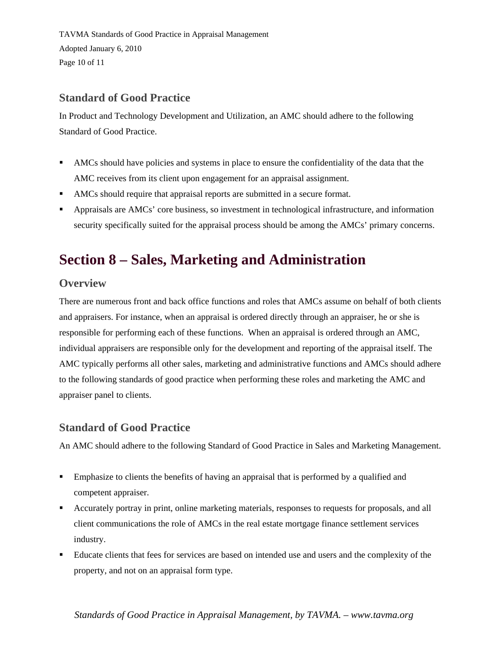TAVMA Standards of Good Practice in Appraisal Management Adopted January 6, 2010 Page 10 of 11

#### **Standard of Good Practice**

In Product and Technology Development and Utilization, an AMC should adhere to the following Standard of Good Practice.

- AMCs should have policies and systems in place to ensure the confidentiality of the data that the AMC receives from its client upon engagement for an appraisal assignment.
- AMCs should require that appraisal reports are submitted in a secure format.
- Appraisals are AMCs' core business, so investment in technological infrastructure, and information security specifically suited for the appraisal process should be among the AMCs' primary concerns.

### **Section 8 – Sales, Marketing and Administration**

#### **Overview**

There are numerous front and back office functions and roles that AMCs assume on behalf of both clients and appraisers. For instance, when an appraisal is ordered directly through an appraiser, he or she is responsible for performing each of these functions. When an appraisal is ordered through an AMC, individual appraisers are responsible only for the development and reporting of the appraisal itself. The AMC typically performs all other sales, marketing and administrative functions and AMCs should adhere to the following standards of good practice when performing these roles and marketing the AMC and appraiser panel to clients.

#### **Standard of Good Practice**

An AMC should adhere to the following Standard of Good Practice in Sales and Marketing Management.

- **Emphasize to clients the benefits of having an appraisal that is performed by a qualified and** competent appraiser.
- Accurately portray in print, online marketing materials, responses to requests for proposals, and all client communications the role of AMCs in the real estate mortgage finance settlement services industry.
- Educate clients that fees for services are based on intended use and users and the complexity of the property, and not on an appraisal form type.